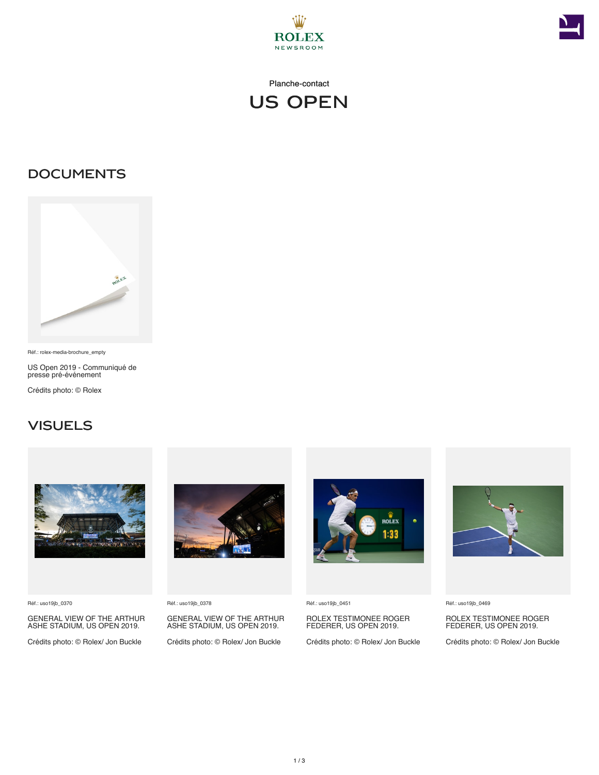



#### Planche-contact



### **DOCUMENTS**



Réf.: rolex-media-brochure\_empty

US Open 2019 - Communiqué de presse pré-événement

Crédits photo: © Rolex

#### **VISUELS**



Réf.: uso19jb\_0370

GENERAL VIEW OF THE ARTHUR ASHE STADIUM, US OPEN 2019.

Crédits photo: © Rolex/ Jon Buckle



Réf.: uso19jb\_0378

GENERAL VIEW OF THE ARTHUR ASHE STADIUM, US OPEN 2019.

Crédits photo: © Rolex/ Jon Buckle



Réf.: uso19jb\_0451

ROLEX TESTIMONEE ROGER FEDERER, US OPEN 2019.

Crédits photo: © Rolex/ Jon Buckle



Réf.: uso19jb\_0469

ROLEX TESTIMONEE ROGER FEDERER, US OPEN 2019.

Crédits photo: © Rolex/ Jon Buckle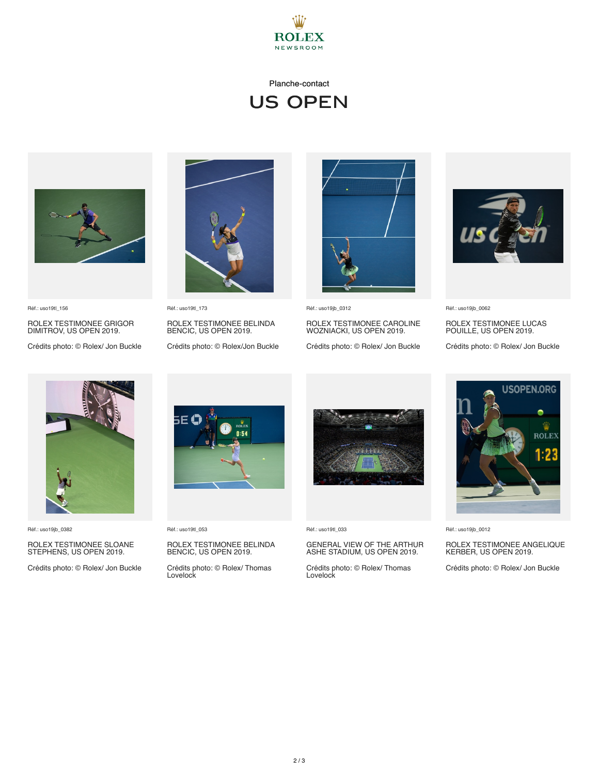

#### Planche-contact

# US Open



Réf.: uso19tl\_156

ROLEX TESTIMONEE GRIGOR DIMITROV, US OPEN 2019.

Crédits photo: © Rolex/ Jon Buckle



Réf.: uso19tl\_173 ROLEX TESTIMONEE BELINDA BENCIC, US OPEN 2019.

Crédits photo: © Rolex/Jon Buckle



Réf.: uso19jb\_0312

ROLEX TESTIMONEE CAROLINE WOZNIACKI, US OPEN 2019.

Crédits photo: © Rolex/ Jon Buckle



Réf.: uso19jb\_0062

ROLEX TESTIMONEE LUCAS POUILLE, US OPEN 2019.

Crédits photo: © Rolex/ Jon Buckle



Réf.: uso19jb\_0382

# ROLEX TESTIMONEE SLOANE STEPHENS, US OPEN 2019.

Crédits photo: © Rolex/ Jon Buckle



Réf.: uso19tl\_053

### ROLEX TESTIMONEE BELINDA BENCIC, US OPEN 2019.

Crédits photo: © Rolex/ Thomas Lovelock



Réf.: uso19tl\_033

# GENERAL VIEW OF THE ARTHUR ASHE STADIUM, US OPEN 2019.

Crédits photo: © Rolex/ Thomas Lovelock



Réf.: uso19jb\_0012

## ROLEX TESTIMONEE ANGELIQUE KERBER, US OPEN 2019.

Crédits photo: © Rolex/ Jon Buckle